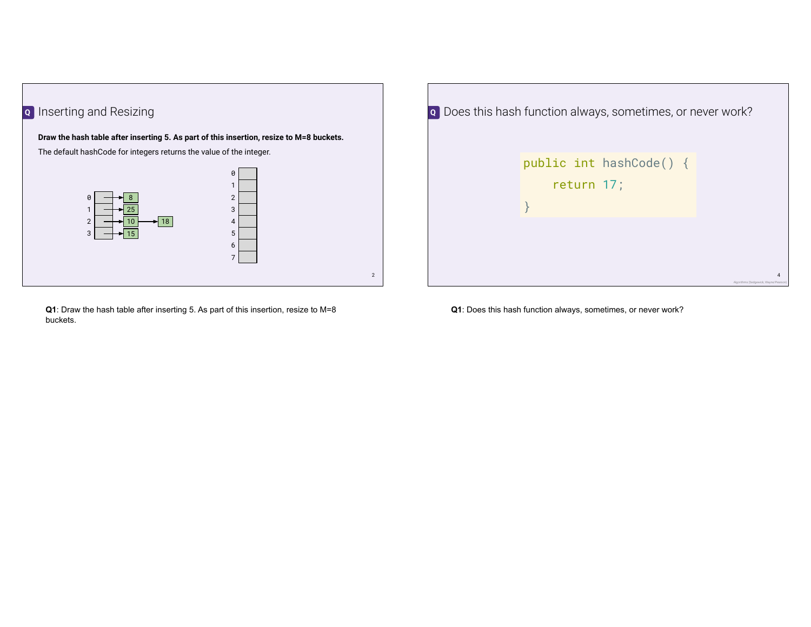

**Q1**: Draw the hash table after inserting 5. As part of this insertion, resize to M=8 buckets.

| o Does this hash function always, sometimes, or never work? |                                       |
|-------------------------------------------------------------|---------------------------------------|
| public int hashCode() {<br>return 17;                       |                                       |
|                                                             | Algorithms (Sedgewick, Wayne/Pearson) |

**Q1**: Does this hash function always, sometimes, or never work?